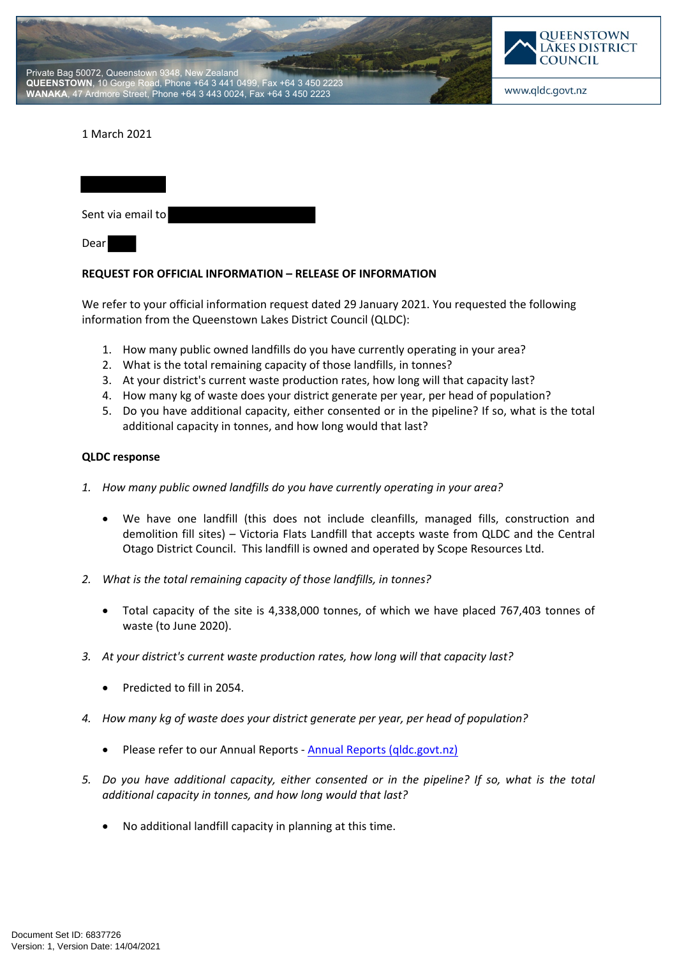



## 1 March 2021

| Sent via email to |  |
|-------------------|--|
| Dear              |  |

## **REQUEST FOR OFFICIAL INFORMATION – RELEASE OF INFORMATION**

We refer to your official information request dated 29 January 2021. You requested the following information from the Queenstown Lakes District Council (QLDC):

- 1. How many public owned landfills do you have currently operating in your area?
- 2. What is the total remaining capacity of those landfills, in tonnes?
- 3. At your district's current waste production rates, how long will that capacity last?
- 4. How many kg of waste does your district generate per year, per head of population?
- 5. Do you have additional capacity, either consented or in the pipeline? If so, what is the total additional capacity in tonnes, and how long would that last?

## **QLDC response**

- *1. How many public owned landfills do you have currently operating in your area?*
	- We have one landfill (this does not include cleanfills, managed fills, construction and demolition fill sites) – Victoria Flats Landfill that accepts waste from QLDC and the Central Otago District Council. This landfill is owned and operated by Scope Resources Ltd.
- *2. What is the total remaining capacity of those landfills, in tonnes?*
	- Total capacity of the site is 4,338,000 tonnes, of which we have placed 767,403 tonnes of waste (to June 2020).
- *3. At your district's current waste production rates, how long will that capacity last?*
	- Predicted to fill in 2054.
- *4. How many kg of waste does your district generate per year, per head of population?*
	- Please refer to our Annual Reports [Annual Reports \(qldc.govt.nz\)](https://www.qldc.govt.nz/your-council/council-documents/annual-reports)
- *5. Do you have additional capacity, either consented or in the pipeline? If so, what is the total additional capacity in tonnes, and how long would that last?*
	- No additional landfill capacity in planning at this time.